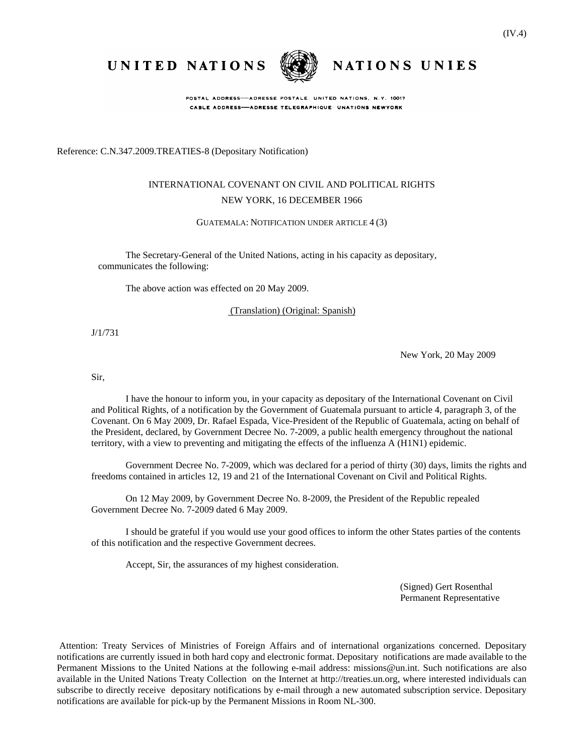UNITED NATIONS



POSTAL ADDRESS-ADRESSE POSTALE: UNITED NATIONS, N.Y. 10017 CABLE ADDRESS-ADRESSE TELEGRAPHIQUE UNATIONS NEWYORK

Reference: C.N.347.2009.TREATIES-8 (Depositary Notification)

# INTERNATIONAL COVENANT ON CIVIL AND POLITICAL RIGHTS NEW YORK, 16 DECEMBER 1966

GUATEMALA: NOTIFICATION UNDER ARTICLE 4 (3)

The Secretary-General of the United Nations, acting in his capacity as depositary, communicates the following:

The above action was effected on 20 May 2009.

(Translation) (Original: Spanish)

J/1/731

New York, 20 May 2009

NATIONS UNIES

Sir,

I have the honour to inform you, in your capacity as depositary of the International Covenant on Civil and Political Rights, of a notification by the Government of Guatemala pursuant to article 4, paragraph 3, of the Covenant. On 6 May 2009, Dr. Rafael Espada, Vice-President of the Republic of Guatemala, acting on behalf of the President, declared, by Government Decree No. 7-2009, a public health emergency throughout the national territory, with a view to preventing and mitigating the effects of the influenza A (H1N1) epidemic.

Government Decree No. 7-2009, which was declared for a period of thirty (30) days, limits the rights and freedoms contained in articles 12, 19 and 21 of the International Covenant on Civil and Political Rights.

On 12 May 2009, by Government Decree No. 8-2009, the President of the Republic repealed Government Decree No. 7-2009 dated 6 May 2009.

I should be grateful if you would use your good offices to inform the other States parties of the contents of this notification and the respective Government decrees.

Accept, Sir, the assurances of my highest consideration.

(Signed) Gert Rosenthal Permanent Representative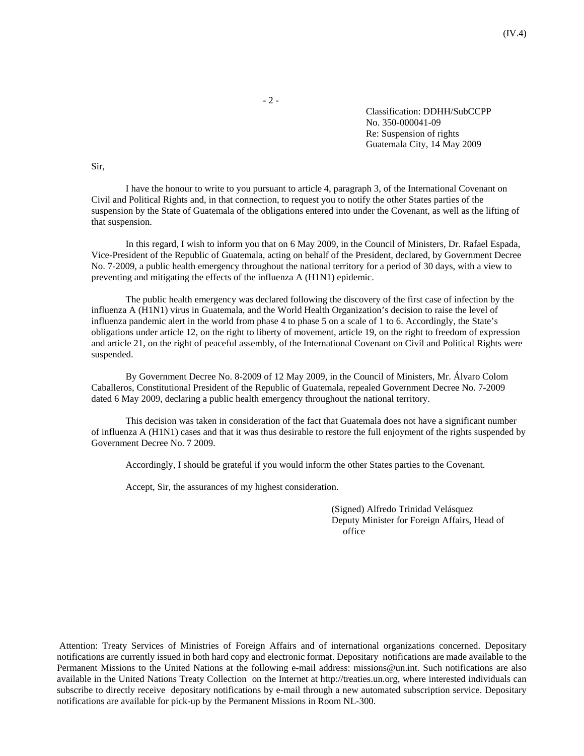**-** 2 **-** 

Classification: DDHH/SubCCPP No. 350-000041-09 Re: Suspension of rights Guatemala City, 14 May 2009

Sir,

I have the honour to write to you pursuant to article 4, paragraph 3, of the International Covenant on Civil and Political Rights and, in that connection, to request you to notify the other States parties of the suspension by the State of Guatemala of the obligations entered into under the Covenant, as well as the lifting of that suspension.

In this regard, I wish to inform you that on 6 May 2009, in the Council of Ministers, Dr. Rafael Espada, Vice-President of the Republic of Guatemala, acting on behalf of the President, declared, by Government Decree No. 7-2009, a public health emergency throughout the national territory for a period of 30 days, with a view to preventing and mitigating the effects of the influenza A (H1N1) epidemic.

The public health emergency was declared following the discovery of the first case of infection by the influenza A (H1N1) virus in Guatemala, and the World Health Organization's decision to raise the level of influenza pandemic alert in the world from phase 4 to phase 5 on a scale of 1 to 6. Accordingly, the State's obligations under article 12, on the right to liberty of movement, article 19, on the right to freedom of expression and article 21, on the right of peaceful assembly, of the International Covenant on Civil and Political Rights were suspended.

By Government Decree No. 8-2009 of 12 May 2009, in the Council of Ministers, Mr. Álvaro Colom Caballeros, Constitutional President of the Republic of Guatemala, repealed Government Decree No. 7-2009 dated 6 May 2009, declaring a public health emergency throughout the national territory.

This decision was taken in consideration of the fact that Guatemala does not have a significant number of influenza A (H1N1) cases and that it was thus desirable to restore the full enjoyment of the rights suspended by Government Decree No. 7 2009.

Accordingly, I should be grateful if you would inform the other States parties to the Covenant.

Accept, Sir, the assurances of my highest consideration.

(Signed) Alfredo Trinidad Velásquez Deputy Minister for Foreign Affairs, Head of office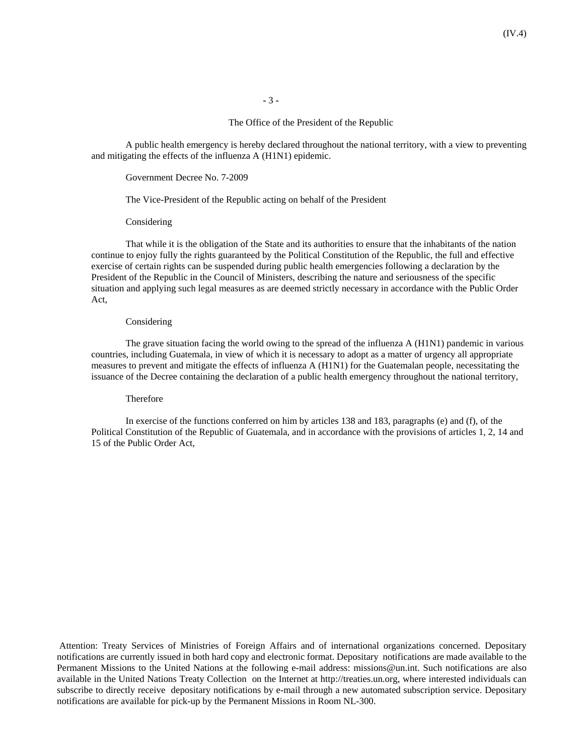**-** 3 **-** 

## The Office of the President of the Republic

A public health emergency is hereby declared throughout the national territory, with a view to preventing and mitigating the effects of the influenza A (H1N1) epidemic.

Government Decree No. 7-2009

The Vice-President of the Republic acting on behalf of the President

Considering

That while it is the obligation of the State and its authorities to ensure that the inhabitants of the nation continue to enjoy fully the rights guaranteed by the Political Constitution of the Republic, the full and effective exercise of certain rights can be suspended during public health emergencies following a declaration by the President of the Republic in the Council of Ministers, describing the nature and seriousness of the specific situation and applying such legal measures as are deemed strictly necessary in accordance with the Public Order Act,

#### Considering

The grave situation facing the world owing to the spread of the influenza A (H1N1) pandemic in various countries, including Guatemala, in view of which it is necessary to adopt as a matter of urgency all appropriate measures to prevent and mitigate the effects of influenza A (H1N1) for the Guatemalan people, necessitating the issuance of the Decree containing the declaration of a public health emergency throughout the national territory,

# Therefore

In exercise of the functions conferred on him by articles 138 and 183, paragraphs (e) and (f), of the Political Constitution of the Republic of Guatemala, and in accordance with the provisions of articles 1, 2, 14 and 15 of the Public Order Act,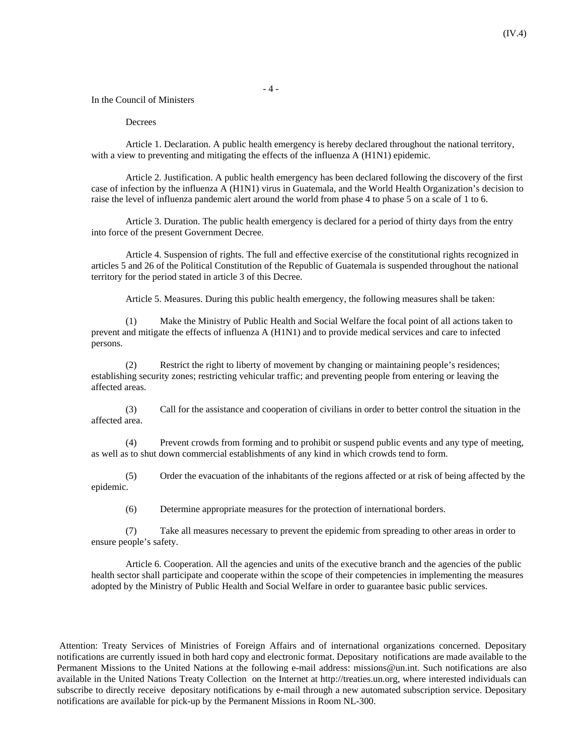- 4 -

In the Council of Ministers

## Decrees

Article 1. Declaration. A public health emergency is hereby declared throughout the national territory, with a view to preventing and mitigating the effects of the influenza A (H1N1) epidemic.

Article 2. Justification. A public health emergency has been declared following the discovery of the first case of infection by the influenza A (H1N1) virus in Guatemala, and the World Health Organization's decision to raise the level of influenza pandemic alert around the world from phase 4 to phase 5 on a scale of 1 to 6.

Article 3. Duration. The public health emergency is declared for a period of thirty days from the entry into force of the present Government Decree.

Article 4. Suspension of rights. The full and effective exercise of the constitutional rights recognized in articles 5 and 26 of the Political Constitution of the Republic of Guatemala is suspended throughout the national territory for the period stated in article 3 of this Decree.

Article 5. Measures. During this public health emergency, the following measures shall be taken:

(1) Make the Ministry of Public Health and Social Welfare the focal point of all actions taken to prevent and mitigate the effects of influenza A (H1N1) and to provide medical services and care to infected persons.

(2) Restrict the right to liberty of movement by changing or maintaining people's residences; establishing security zones; restricting vehicular traffic; and preventing people from entering or leaving the affected areas.

(3) Call for the assistance and cooperation of civilians in order to better control the situation in the affected area.

(4) Prevent crowds from forming and to prohibit or suspend public events and any type of meeting, as well as to shut down commercial establishments of any kind in which crowds tend to form.

(5) Order the evacuation of the inhabitants of the regions affected or at risk of being affected by the epidemic.

(6) Determine appropriate measures for the protection of international borders.

(7) Take all measures necessary to prevent the epidemic from spreading to other areas in order to ensure people's safety.

Article 6. Cooperation. All the agencies and units of the executive branch and the agencies of the public health sector shall participate and cooperate within the scope of their competencies in implementing the measures adopted by the Ministry of Public Health and Social Welfare in order to guarantee basic public services.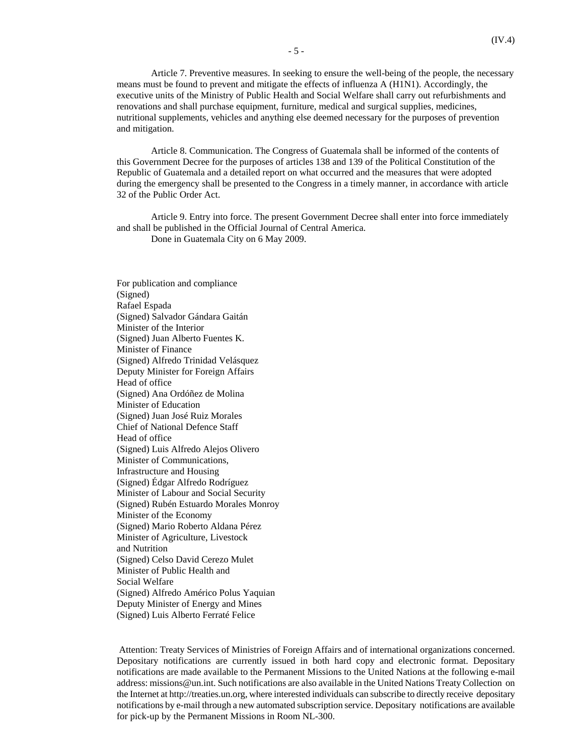Article 7. Preventive measures. In seeking to ensure the well-being of the people, the necessary means must be found to prevent and mitigate the effects of influenza A (H1N1). Accordingly, the executive units of the Ministry of Public Health and Social Welfare shall carry out refurbishments and renovations and shall purchase equipment, furniture, medical and surgical supplies, medicines, nutritional supplements, vehicles and anything else deemed necessary for the purposes of prevention and mitigation.

Article 8. Communication. The Congress of Guatemala shall be informed of the contents of this Government Decree for the purposes of articles 138 and 139 of the Political Constitution of the Republic of Guatemala and a detailed report on what occurred and the measures that were adopted during the emergency shall be presented to the Congress in a timely manner, in accordance with article 32 of the Public Order Act.

Article 9. Entry into force. The present Government Decree shall enter into force immediately and shall be published in the Official Journal of Central America.

Done in Guatemala City on 6 May 2009.

For publication and compliance (Signed) Rafael Espada (Signed) Salvador Gándara Gaitán Minister of the Interior (Signed) Juan Alberto Fuentes K. Minister of Finance (Signed) Alfredo Trinidad Velásquez Deputy Minister for Foreign Affairs Head of office (Signed) Ana Ordóñez de Molina Minister of Education (Signed) Juan José Ruiz Morales Chief of National Defence Staff Head of office (Signed) Luis Alfredo Alejos Olivero Minister of Communications, Infrastructure and Housing (Signed) Édgar Alfredo Rodríguez Minister of Labour and Social Security (Signed) Rubén Estuardo Morales Monroy Minister of the Economy (Signed) Mario Roberto Aldana Pérez Minister of Agriculture, Livestock and Nutrition (Signed) Celso David Cerezo Mulet Minister of Public Health and Social Welfare (Signed) Alfredo Américo Polus Yaquian Deputy Minister of Energy and Mines (Signed) Luis Alberto Ferraté Felice